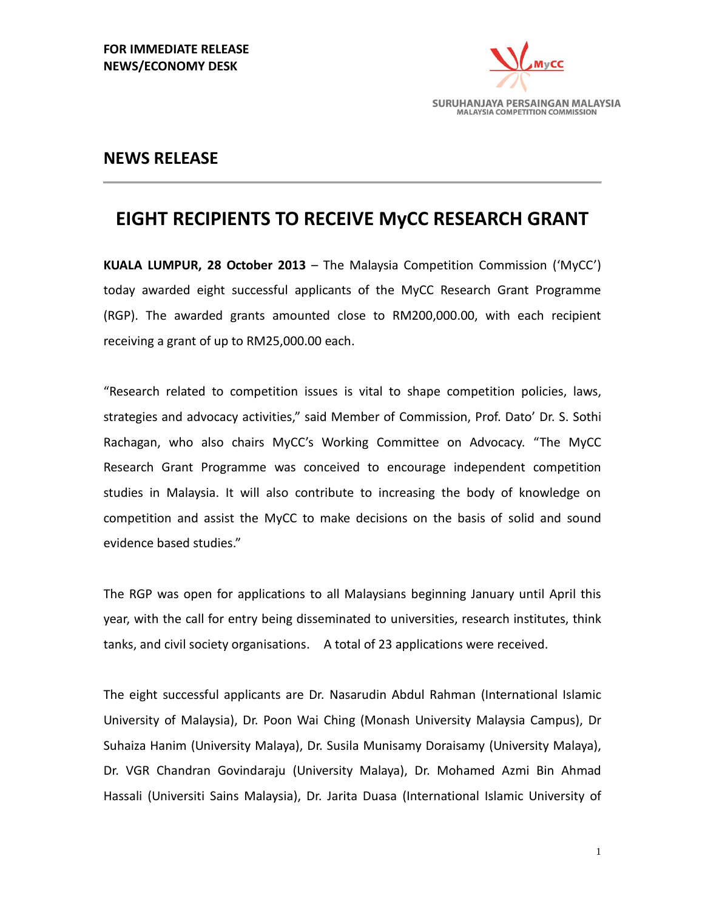

## **NEWS RELEASE**

## **EIGHT RECIPIENTS TO RECEIVE MyCC RESEARCH GRANT**

**KUALA LUMPUR, 28 October 2013** – The Malaysia Competition Commission ('MyCC') today awarded eight successful applicants of the MyCC Research Grant Programme (RGP). The awarded grants amounted close to RM200,000.00, with each recipient receiving a grant of up to RM25,000.00 each.

"Research related to competition issues is vital to shape competition policies, laws, strategies and advocacy activities," said Member of Commission, Prof. Dato' Dr. S. Sothi Rachagan, who also chairs MyCC's Working Committee on Advocacy. "The MyCC Research Grant Programme was conceived to encourage independent competition studies in Malaysia. It will also contribute to increasing the body of knowledge on competition and assist the MyCC to make decisions on the basis of solid and sound evidence based studies."

The RGP was open for applications to all Malaysians beginning January until April this year, with the call for entry being disseminated to universities, research institutes, think tanks, and civil society organisations. A total of 23 applications were received.

The eight successful applicants are Dr. Nasarudin Abdul Rahman (International Islamic University of Malaysia), Dr. Poon Wai Ching (Monash University Malaysia Campus), Dr Suhaiza Hanim (University Malaya), Dr. Susila Munisamy Doraisamy (University Malaya), Dr. VGR Chandran Govindaraju (University Malaya), Dr. Mohamed Azmi Bin Ahmad Hassali (Universiti Sains Malaysia), Dr. Jarita Duasa (International Islamic University of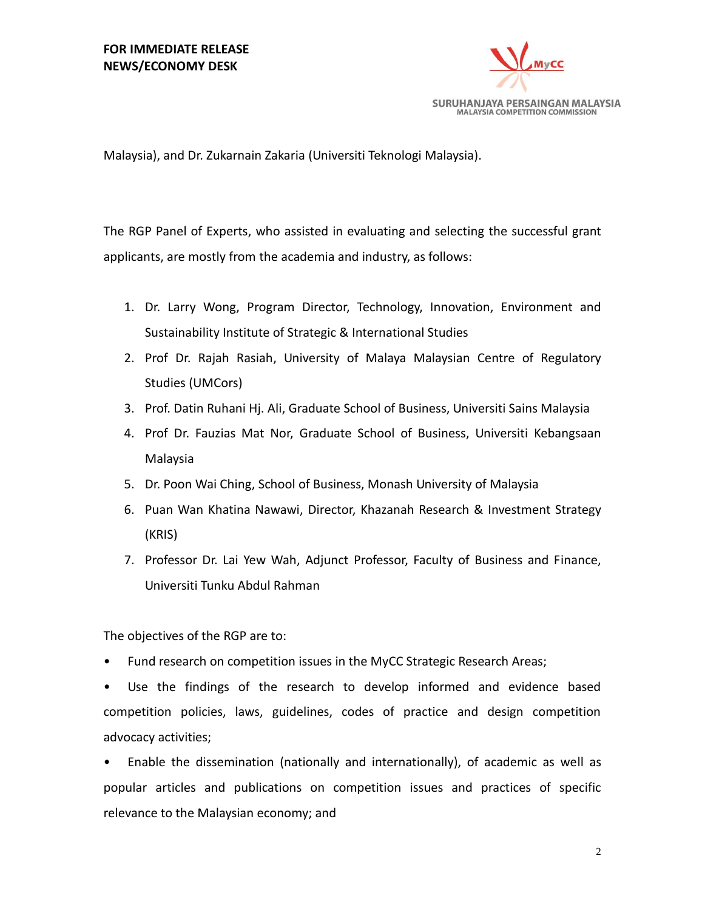

Malaysia), and Dr. Zukarnain Zakaria (Universiti Teknologi Malaysia).

The RGP Panel of Experts, who assisted in evaluating and selecting the successful grant applicants, are mostly from the academia and industry, as follows:

- 1. Dr. Larry Wong, Program Director, Technology, Innovation, Environment and Sustainability Institute of Strategic & International Studies
- 2. Prof Dr. Rajah Rasiah, University of Malaya Malaysian Centre of Regulatory Studies (UMCors)
- 3. Prof. Datin Ruhani Hj. Ali, Graduate School of Business, Universiti Sains Malaysia
- 4. Prof Dr. Fauzias Mat Nor, Graduate School of Business, Universiti Kebangsaan Malaysia
- 5. Dr. Poon Wai Ching, School of Business, Monash University of Malaysia
- 6. Puan Wan Khatina Nawawi, Director, Khazanah Research & Investment Strategy (KRIS)
- 7. Professor Dr. Lai Yew Wah, Adjunct Professor, Faculty of Business and Finance, Universiti Tunku Abdul Rahman

The objectives of the RGP are to:

• Fund research on competition issues in the MyCC Strategic Research Areas;

• Use the findings of the research to develop informed and evidence based competition policies, laws, guidelines, codes of practice and design competition advocacy activities;

• Enable the dissemination (nationally and internationally), of academic as well as popular articles and publications on competition issues and practices of specific relevance to the Malaysian economy; and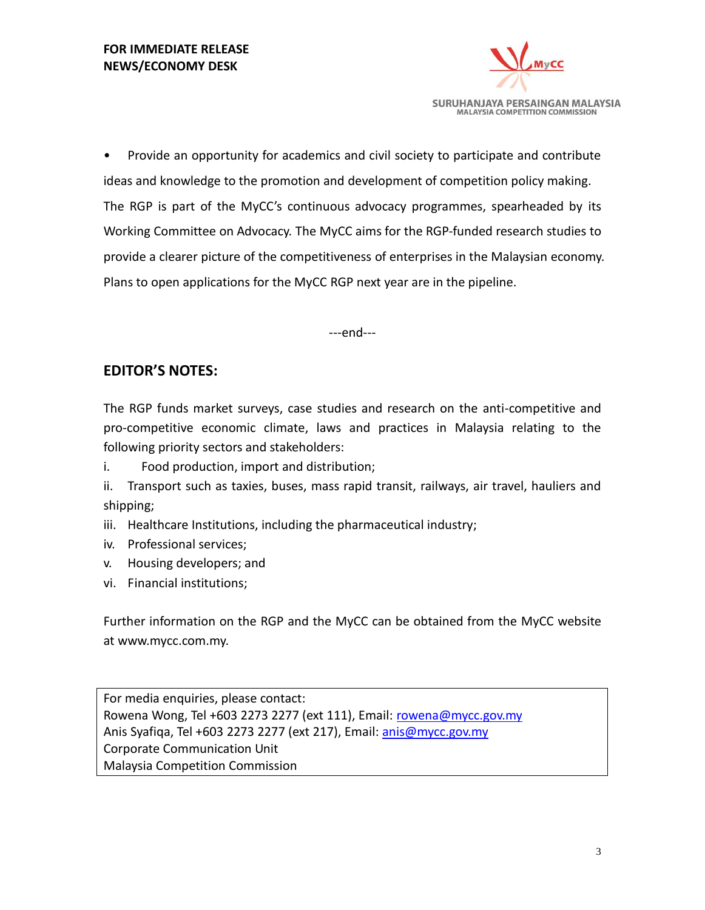

• Provide an opportunity for academics and civil society to participate and contribute ideas and knowledge to the promotion and development of competition policy making. The RGP is part of the MyCC's continuous advocacy programmes, spearheaded by its Working Committee on Advocacy. The MyCC aims for the RGP-funded research studies to provide a clearer picture of the competitiveness of enterprises in the Malaysian economy. Plans to open applications for the MyCC RGP next year are in the pipeline.

---end---

## **EDITOR'S NOTES:**

The RGP funds market surveys, case studies and research on the anti-competitive and pro-competitive economic climate, laws and practices in Malaysia relating to the following priority sectors and stakeholders:

i. Food production, import and distribution;

ii. Transport such as taxies, buses, mass rapid transit, railways, air travel, hauliers and shipping;

iii. Healthcare Institutions, including the pharmaceutical industry;

- iv. Professional services;
- v. Housing developers; and
- vi. Financial institutions;

Further information on the RGP and the MyCC can be obtained from the MyCC website at www.mycc.com.my.

For media enquiries, please contact: Rowena Wong, Tel +603 2273 2277 (ext 111), Email: [rowena@mycc.gov.my](mailto:rowena@mycc.gov.my) Anis Syafiga, Tel +603 2273 2277 (ext 217), Email: [anis@mycc.gov.my](mailto:anis@mycc.gov.my) Corporate Communication Unit Malaysia Competition Commission